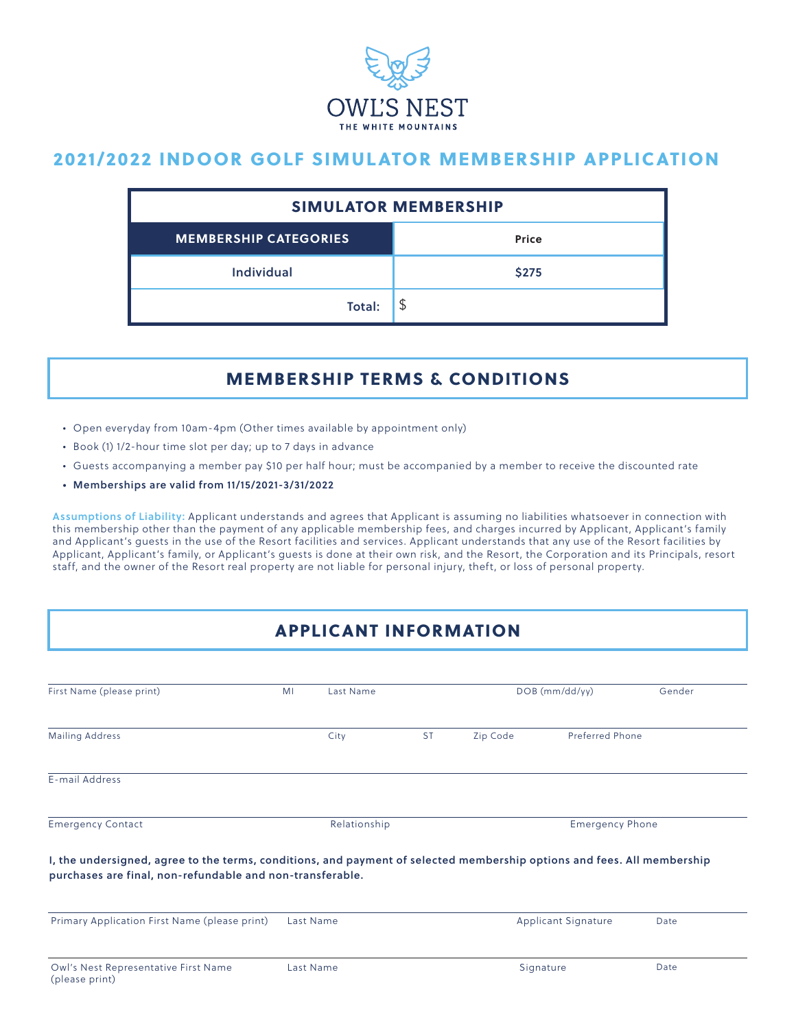

# 2021/2022 INDOOR GOLF SIMULATOR MEMBERSHIP APPLICATION

|                              | <b>SIMULATOR MEMBERSHIP</b> |  |  |  |  |
|------------------------------|-----------------------------|--|--|--|--|
| <b>MEMBERSHIP CATEGORIES</b> | <b>Price</b>                |  |  |  |  |
| <b>Individual</b>            | <b>\$275</b>                |  |  |  |  |
| Total:                       | \$                          |  |  |  |  |

## MEMBERSHIP TERMS & CONDITIONS

- Open everyday from 10am-4pm (Other times available by appointment only)
- Book (1) 1/2-hour time slot per day; up to 7 days in advance
- Guests accompanying a member pay \$10 per half hour; must be accompanied by a member to receive the discounted rate
- Memberships are valid from 11/15/2021-3/31/2022

Assumptions of Liability: Applicant understands and agrees that Applicant is assuming no liabilities whatsoever in connection with this membership other than the payment of any applicable membership fees, and charges incurred by Applicant, Applicant's family and Applicant's guests in the use of the Resort facilities and services. Applicant understands that any use of the Resort facilities by Applicant, Applicant's family, or Applicant's guests is done at their own risk, and the Resort, the Corporation and its Principals, resort staff, and the owner of the Resort real property are not liable for personal injury, theft, or loss of personal property.

# APPLICANT INFORMATION

| M <sub>l</sub> | Last Name    |                                                           | $DOB$ (mm/dd/yy)       |  | Gender                                                                                                                                            |  |
|----------------|--------------|-----------------------------------------------------------|------------------------|--|---------------------------------------------------------------------------------------------------------------------------------------------------|--|
|                | City         | <b>ST</b>                                                 | Zip Code               |  |                                                                                                                                                   |  |
|                |              |                                                           |                        |  |                                                                                                                                                   |  |
|                | Relationship |                                                           | <b>Emergency Phone</b> |  |                                                                                                                                                   |  |
|                |              |                                                           |                        |  |                                                                                                                                                   |  |
|                |              |                                                           |                        |  |                                                                                                                                                   |  |
|                |              | purchases are final, non-refundable and non-transferable. |                        |  | <b>Preferred Phone</b><br>I, the undersigned, agree to the terms, conditions, and payment of selected membership options and fees. All membership |  |